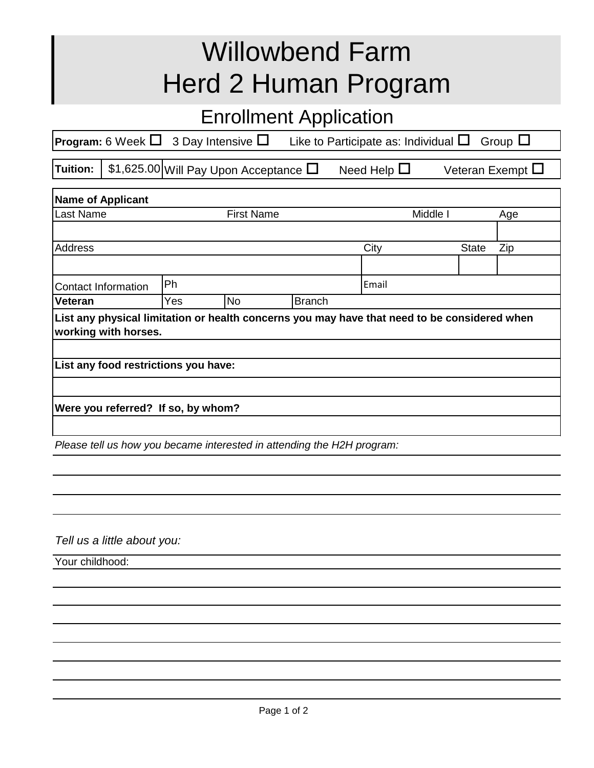## Willowbend Farm Herd 2 Human Program

## Enrollment Application

| <b>Program:</b> 6 Week $\Box$ 3 Day Intensive $\Box$ | Like to Participate as: Individual $\square$ Group $\square$ |  |
|------------------------------------------------------|--------------------------------------------------------------|--|
|                                                      |                                                              |  |

**Tuition:**  $\vert$  **\$1,625.00 Will Pay Upon Acceptance**  $\Box$  **Need Help**  $\Box$  **Veteran Exempt**  $\Box$ 

| <b>Name of Applicant</b>                                                                                             |     |           |               |          |              |     |  |  |  |
|----------------------------------------------------------------------------------------------------------------------|-----|-----------|---------------|----------|--------------|-----|--|--|--|
| Last Name<br><b>First Name</b>                                                                                       |     |           |               | Middle I |              | Age |  |  |  |
|                                                                                                                      |     |           |               |          |              |     |  |  |  |
| <b>Address</b>                                                                                                       |     |           |               | City     | <b>State</b> | Zip |  |  |  |
|                                                                                                                      |     |           |               |          |              |     |  |  |  |
| Contact Information                                                                                                  | Ph  |           |               | Email    |              |     |  |  |  |
| <b>Veteran</b>                                                                                                       | Yes | <b>No</b> | <b>Branch</b> |          |              |     |  |  |  |
| List any physical limitation or health concerns you may have that need to be considered when<br>working with horses. |     |           |               |          |              |     |  |  |  |
| List any food restrictions you have:                                                                                 |     |           |               |          |              |     |  |  |  |
|                                                                                                                      |     |           |               |          |              |     |  |  |  |
| Were you referred? If so, by whom?                                                                                   |     |           |               |          |              |     |  |  |  |
|                                                                                                                      |     |           |               |          |              |     |  |  |  |

*Please tell us how you became interested in attending the H2H program:*

*Tell us a little about you:*

Your childhood: